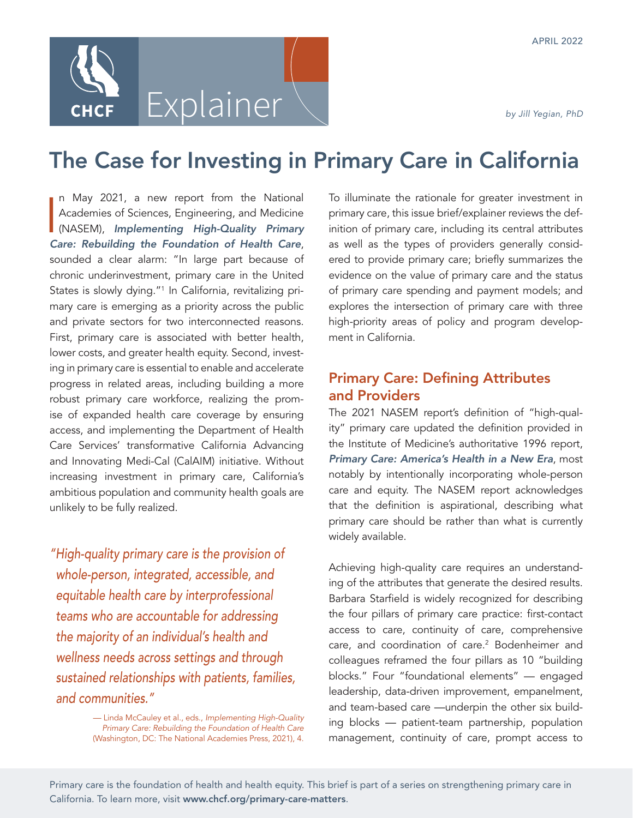# Explainer

# The Case for Investing in Primary Care in California

I n May 2021, a new report from the National Academies of Sciences, Engineering, and Medicine (NASEM), *[Implementing High-Quality Primary](https://www.nap.edu/read/25983/chapter/1) [Care: Rebuilding the Foundation of Health Care](https://www.nap.edu/read/25983/chapter/1)*, sounded a clear alarm: "In large part because of chronic underinvestment, primary care in the United States is slowly dying."1 In California, revitalizing primary care is emerging as a priority across the public and private sectors for two interconnected reasons. First, primary care is associated with better health, lower costs, and greater health equity. Second, investing in primary care is essential to enable and accelerate progress in related areas, including building a more robust primary care workforce, realizing the promise of expanded health care coverage by ensuring access, and implementing the Department of Health Care Services' transformative California Advancing and Innovating Medi-Cal (CalAIM) initiative. Without increasing investment in primary care, California's ambitious population and community health goals are unlikely to be fully realized.

*"High-quality primary care is the provision of whole-person, integrated, accessible, and equitable health care by interprofessional teams who are accountable for addressing the majority of an individual's health and wellness needs across settings and through sustained relationships with patients, families, and communities."* 

> — Linda McCauley et al., eds., *Implementing High-Quality Primary Care: Rebuilding the Foundation of Health Care* (Washington, DC: The National Academies Press, 2021), 4.

To illuminate the rationale for greater investment in primary care, this issue brief/explainer reviews the definition of primary care, including its central attributes as well as the types of providers generally considered to provide primary care; briefly summarizes the evidence on the value of primary care and the status of primary care spending and payment models; and explores the intersection of primary care with three high-priority areas of policy and program development in California.

# Primary Care: Defining Attributes and Providers

The 2021 NASEM report's definition of "high-quality" primary care updated the definition provided in the Institute of Medicine's authoritative 1996 report, *[Primary Care: America's Health in a New Era](https://nap.nationalacademies.org/catalog/5152/primary-care-americas-health-in-a-new-era)*, most notably by intentionally incorporating whole-person care and equity. The NASEM report acknowledges that the definition is aspirational, describing what primary care should be rather than what is currently widely available.

Achieving high-quality care requires an understanding of the attributes that generate the desired results. Barbara Starfield is widely recognized for describing the four pillars of primary care practice: first-contact access to care, continuity of care, comprehensive care, and coordination of care.<sup>2</sup> Bodenheimer and colleagues reframed the four pillars as 10 "building blocks." Four "foundational elements" — engaged leadership, data-driven improvement, empanelment, and team-based care —underpin the other six building blocks — patient-team partnership, population management, continuity of care, prompt access to

Primary care is the foundation of health and health equity. This brief is part of a series on strengthening primary care in California. To learn more, visit [www.chcf.org/primary-care-matters](http://www.chcf.org/primary-care-matters).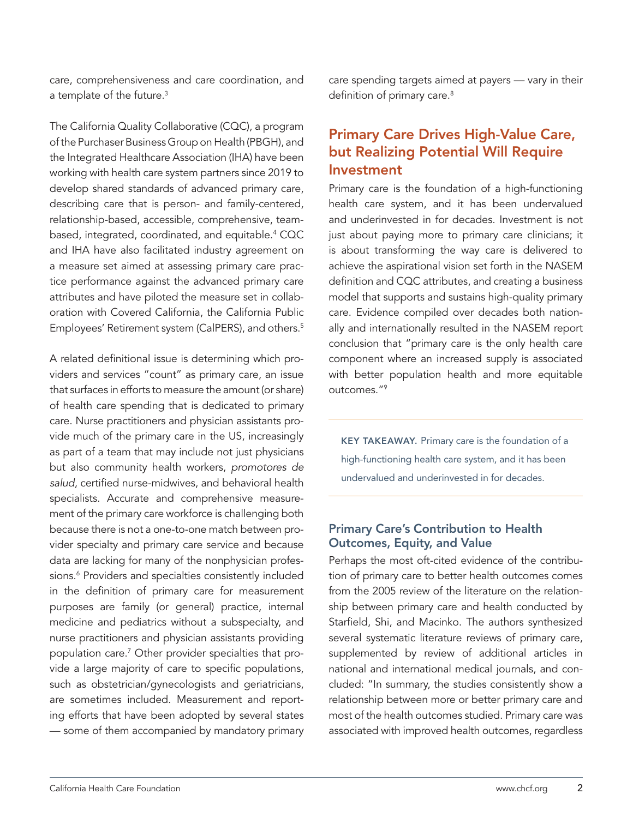care, comprehensiveness and care coordination, and a template of the future.<sup>3</sup>

The California Quality Collaborative (CQC), a program of the Purchaser Business Group on Health (PBGH), and the Integrated Healthcare Association (IHA) have been working with health care system partners since 2019 to develop shared standards of advanced primary care, describing care that is person- and family-centered, relationship-based, accessible, comprehensive, teambased, integrated, coordinated, and equitable.4 CQC and IHA have also facilitated industry agreement on a measure set aimed at assessing primary care practice performance against the advanced primary care attributes and have piloted the measure set in collaboration with Covered California, the California Public Employees' Retirement system (CalPERS), and others.<sup>5</sup>

A related definitional issue is determining which providers and services "count" as primary care, an issue that surfaces in efforts to measure the amount (or share) of health care spending that is dedicated to primary care. Nurse practitioners and physician assistants provide much of the primary care in the US, increasingly as part of a team that may include not just physicians but also community health workers, *promotores de salud*, certified nurse-midwives, and behavioral health specialists. Accurate and comprehensive measurement of the primary care workforce is challenging both because there is not a one-to-one match between provider specialty and primary care service and because data are lacking for many of the nonphysician professions.<sup>6</sup> Providers and specialties consistently included in the definition of primary care for measurement purposes are family (or general) practice, internal medicine and pediatrics without a subspecialty, and nurse practitioners and physician assistants providing population care.7 Other provider specialties that provide a large majority of care to specific populations, such as obstetrician/gynecologists and geriatricians, are sometimes included. Measurement and reporting efforts that have been adopted by several states — some of them accompanied by mandatory primary care spending targets aimed at payers — vary in their definition of primary care.<sup>8</sup>

# Primary Care Drives High-Value Care, but Realizing Potential Will Require Investment

Primary care is the foundation of a high-functioning health care system, and it has been undervalued and underinvested in for decades. Investment is not just about paying more to primary care clinicians; it is about transforming the way care is delivered to achieve the aspirational vision set forth in the NASEM definition and CQC attributes, and creating a business model that supports and sustains high-quality primary care. Evidence compiled over decades both nationally and internationally resulted in the NASEM report conclusion that "primary care is the only health care component where an increased supply is associated with better population health and more equitable outcomes."9

KEY TAKEAWAY. Primary care is the foundation of a high-functioning health care system, and it has been undervalued and underinvested in for decades.

#### Primary Care's Contribution to Health Outcomes, Equity, and Value

Perhaps the most oft-cited evidence of the contribution of primary care to better health outcomes comes from the 2005 review of the literature on the relationship between primary care and health conducted by Starfield, Shi, and Macinko. The authors synthesized several systematic literature reviews of primary care, supplemented by review of additional articles in national and international medical journals, and concluded: "In summary, the studies consistently show a relationship between more or better primary care and most of the health outcomes studied. Primary care was associated with improved health outcomes, regardless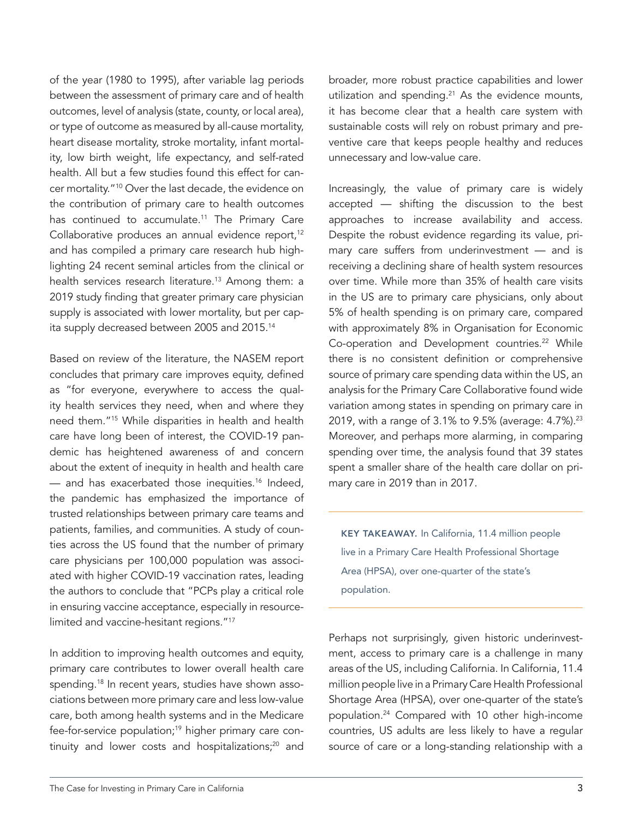of the year (1980 to 1995), after variable lag periods between the assessment of primary care and of health outcomes, level of analysis (state, county, or local area), or type of outcome as measured by all-cause mortality, heart disease mortality, stroke mortality, infant mortality, low birth weight, life expectancy, and self-rated health. All but a few studies found this effect for cancer mortality."10 Over the last decade, the evidence on the contribution of primary care to health outcomes has continued to accumulate.<sup>11</sup> The Primary Care Collaborative produces an annual evidence report,<sup>12</sup> and has compiled a primary care research hub highlighting 24 recent seminal articles from the clinical or health services research literature.<sup>13</sup> Among them: a 2019 study finding that greater primary care physician supply is associated with lower mortality, but per capita supply decreased between 2005 and 2015.<sup>14</sup>

Based on review of the literature, the NASEM report concludes that primary care improves equity, defined as "for everyone, everywhere to access the quality health services they need, when and where they need them."15 While disparities in health and health care have long been of interest, the COVID-19 pandemic has heightened awareness of and concern about the extent of inequity in health and health care  $-$  and has exacerbated those inequities.<sup>16</sup> Indeed, the pandemic has emphasized the importance of trusted relationships between primary care teams and patients, families, and communities. A study of counties across the US found that the number of primary care physicians per 100,000 population was associated with higher COVID-19 vaccination rates, leading the authors to conclude that "PCPs play a critical role in ensuring vaccine acceptance, especially in resourcelimited and vaccine-hesitant regions."17

In addition to improving health outcomes and equity, primary care contributes to lower overall health care spending.<sup>18</sup> In recent years, studies have shown associations between more primary care and less low-value care, both among health systems and in the Medicare fee-for-service population;19 higher primary care continuity and lower costs and hospitalizations;<sup>20</sup> and

broader, more robust practice capabilities and lower utilization and spending. $21$  As the evidence mounts, it has become clear that a health care system with sustainable costs will rely on robust primary and preventive care that keeps people healthy and reduces unnecessary and low-value care.

Increasingly, the value of primary care is widely accepted — shifting the discussion to the best approaches to increase availability and access. Despite the robust evidence regarding its value, primary care suffers from underinvestment — and is receiving a declining share of health system resources over time. While more than 35% of health care visits in the US are to primary care physicians, only about 5% of health spending is on primary care, compared with approximately 8% in Organisation for Economic Co-operation and Development countries.<sup>22</sup> While there is no consistent definition or comprehensive source of primary care spending data within the US, an analysis for the Primary Care Collaborative found wide variation among states in spending on primary care in 2019, with a range of 3.1% to 9.5% (average: 4.7%).<sup>23</sup> Moreover, and perhaps more alarming, in comparing spending over time, the analysis found that 39 states spent a smaller share of the health care dollar on primary care in 2019 than in 2017.

KEY TAKEAWAY. In California, 11.4 million people live in a Primary Care Health Professional Shortage Area (HPSA), over one-quarter of the state's population.

Perhaps not surprisingly, given historic underinvestment, access to primary care is a challenge in many areas of the US, including California. In California, 11.4 million people live in a Primary Care Health Professional Shortage Area (HPSA), over one-quarter of the state's population.24 Compared with 10 other high-income countries, US adults are less likely to have a regular source of care or a long-standing relationship with a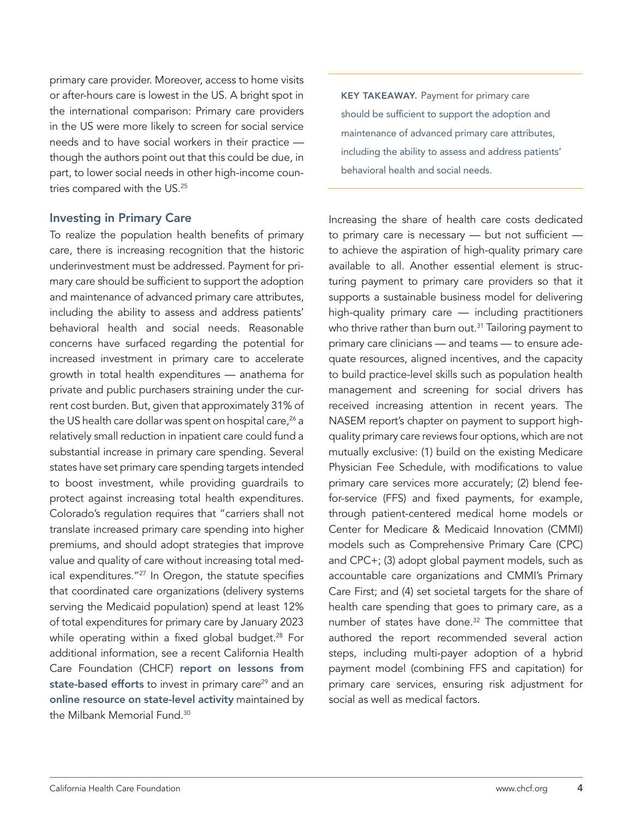primary care provider. Moreover, access to home visits or after-hours care is lowest in the US. A bright spot in the international comparison: Primary care providers in the US were more likely to screen for social service needs and to have social workers in their practice though the authors point out that this could be due, in part, to lower social needs in other high-income countries compared with the US.<sup>25</sup>

#### Investing in Primary Care

To realize the population health benefits of primary care, there is increasing recognition that the historic underinvestment must be addressed. Payment for primary care should be sufficient to support the adoption and maintenance of advanced primary care attributes, including the ability to assess and address patients' behavioral health and social needs. Reasonable concerns have surfaced regarding the potential for increased investment in primary care to accelerate growth in total health expenditures — anathema for private and public purchasers straining under the current cost burden. But, given that approximately 31% of the US health care dollar was spent on hospital care,<sup>26</sup> a relatively small reduction in inpatient care could fund a substantial increase in primary care spending. Several states have set primary care spending targets intended to boost investment, while providing guardrails to protect against increasing total health expenditures. Colorado's regulation requires that "carriers shall not translate increased primary care spending into higher premiums, and should adopt strategies that improve value and quality of care without increasing total medical expenditures."27 In Oregon, the statute specifies that coordinated care organizations (delivery systems serving the Medicaid population) spend at least 12% of total expenditures for primary care by January 2023 while operating within a fixed global budget.<sup>28</sup> For additional information, see a recent California Health Care Foundation (CHCF) [report on lessons from](https://www.chcf.org/publication/investing-in-primary-care-lessons-from-state-based-efforts/) [state-based efforts](https://www.chcf.org/publication/investing-in-primary-care-lessons-from-state-based-efforts/) to invest in primary care<sup>29</sup> and an [online resource on state-level activity](https://www.milbank.org/focus-areas/primary-care-transformation/other-resources/) maintained by the Milbank Memorial Fund.30

KEY TAKEAWAY. Payment for primary care should be sufficient to support the adoption and maintenance of advanced primary care attributes, including the ability to assess and address patients' behavioral health and social needs.

Increasing the share of health care costs dedicated to primary care is necessary — but not sufficient to achieve the aspiration of high-quality primary care available to all. Another essential element is structuring payment to primary care providers so that it supports a sustainable business model for delivering high-quality primary care — including practitioners who thrive rather than burn out.<sup>31</sup> Tailoring payment to primary care clinicians — and teams — to ensure adequate resources, aligned incentives, and the capacity to build practice-level skills such as population health management and screening for social drivers has received increasing attention in recent years. The NASEM report's chapter on payment to support highquality primary care reviews four options, which are not mutually exclusive: (1) build on the existing Medicare Physician Fee Schedule, with modifications to value primary care services more accurately; (2) blend feefor-service (FFS) and fixed payments, for example, through patient-centered medical home models or Center for Medicare & Medicaid Innovation (CMMI) models such as Comprehensive Primary Care (CPC) and CPC+; (3) adopt global payment models, such as accountable care organizations and CMMI's Primary Care First; and (4) set societal targets for the share of health care spending that goes to primary care, as a number of states have done.<sup>32</sup> The committee that authored the report recommended several action steps, including multi-payer adoption of a hybrid payment model (combining FFS and capitation) for primary care services, ensuring risk adjustment for social as well as medical factors.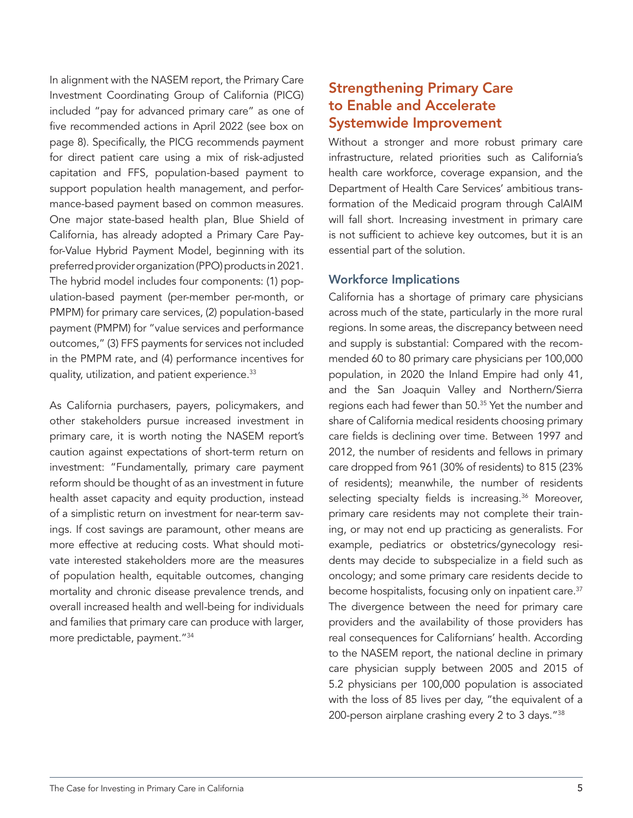In alignment with the NASEM report, the Primary Care Investment Coordinating Group of California (PICG) included "pay for advanced primary care" as one of five recommended actions in April 2022 (see box on page 8). Specifically, the PICG recommends payment for direct patient care using a mix of risk-adjusted capitation and FFS, population-based payment to support population health management, and performance-based payment based on common measures. One major state-based health plan, Blue Shield of California, has already adopted a Primary Care Payfor-Value Hybrid Payment Model, beginning with its preferred provider organization (PPO) products in 2021. The hybrid model includes four components: (1) population-based payment (per-member per-month, or PMPM) for primary care services, (2) population-based payment (PMPM) for "value services and performance outcomes," (3) FFS payments for services not included in the PMPM rate, and (4) performance incentives for quality, utilization, and patient experience.33

As California purchasers, payers, policymakers, and other stakeholders pursue increased investment in primary care, it is worth noting the NASEM report's caution against expectations of short-term return on investment: "Fundamentally, primary care payment reform should be thought of as an investment in future health asset capacity and equity production, instead of a simplistic return on investment for near-term savings. If cost savings are paramount, other means are more effective at reducing costs. What should motivate interested stakeholders more are the measures of population health, equitable outcomes, changing mortality and chronic disease prevalence trends, and overall increased health and well-being for individuals and families that primary care can produce with larger, more predictable, payment."34

## Strengthening Primary Care to Enable and Accelerate Systemwide Improvement

Without a stronger and more robust primary care infrastructure, related priorities such as California's health care workforce, coverage expansion, and the Department of Health Care Services' ambitious transformation of the Medicaid program through CalAIM will fall short. Increasing investment in primary care is not sufficient to achieve key outcomes, but it is an essential part of the solution.

#### Workforce Implications

California has a shortage of primary care physicians across much of the state, particularly in the more rural regions. In some areas, the discrepancy between need and supply is substantial: Compared with the recommended 60 to 80 primary care physicians per 100,000 population, in 2020 the Inland Empire had only 41, and the San Joaquin Valley and Northern/Sierra regions each had fewer than 50.35 Yet the number and share of California medical residents choosing primary care fields is declining over time. Between 1997 and 2012, the number of residents and fellows in primary care dropped from 961 (30% of residents) to 815 (23% of residents); meanwhile, the number of residents selecting specialty fields is increasing.<sup>36</sup> Moreover, primary care residents may not complete their training, or may not end up practicing as generalists. For example, pediatrics or obstetrics/gynecology residents may decide to subspecialize in a field such as oncology; and some primary care residents decide to become hospitalists, focusing only on inpatient care.<sup>37</sup> The divergence between the need for primary care providers and the availability of those providers has real consequences for Californians' health. According to the NASEM report, the national decline in primary care physician supply between 2005 and 2015 of 5.2 physicians per 100,000 population is associated with the loss of 85 lives per day, "the equivalent of a 200-person airplane crashing every 2 to 3 days."<sup>38</sup>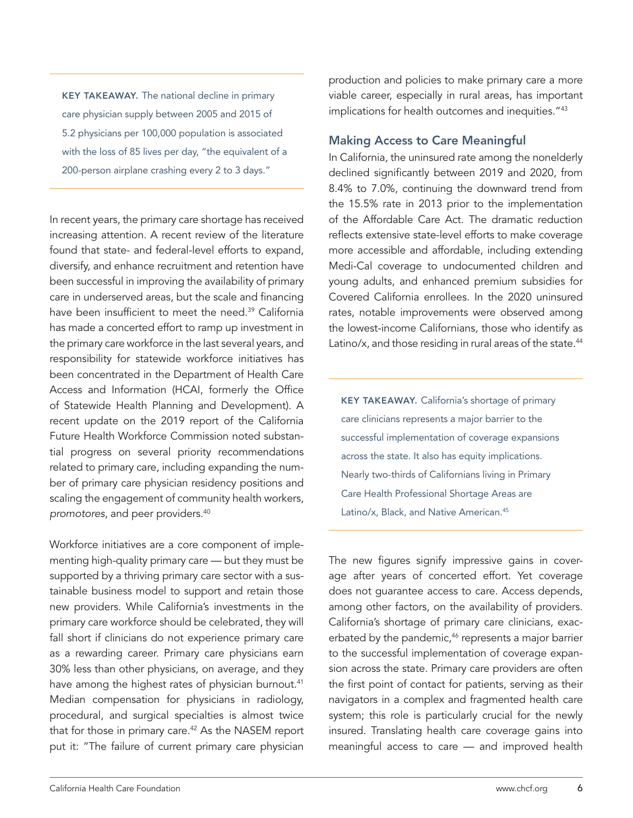KEY TAKEAWAY. The national decline in primary care physician supply between 2005 and 2015 of 5.2 physicians per 100,000 population is associated with the loss of 85 lives per day, "the equivalent of a 200-person airplane crashing every 2 to 3 days."

In recent years, the primary care shortage has received increasing attention. A recent review of the literature found that state- and federal-level efforts to expand, diversify, and enhance recruitment and retention have been successful in improving the availability of primary care in underserved areas, but the scale and financing have been insufficient to meet the need.<sup>39</sup> California has made a concerted effort to ramp up investment in the primary care workforce in the last several years, and responsibility for statewide workforce initiatives has been concentrated in the Department of Health Care Access and Information (HCAI, formerly the Office of Statewide Health Planning and Development). A recent update on the 2019 report of the California Future Health Workforce Commission noted substantial progress on several priority recommendations related to primary care, including expanding the number of primary care physician residency positions and scaling the engagement of community health workers, *promotores*, and peer providers.40

Workforce initiatives are a core component of implementing high-quality primary care — but they must be supported by a thriving primary care sector with a sustainable business model to support and retain those new providers. While California's investments in the primary care workforce should be celebrated, they will fall short if clinicians do not experience primary care as a rewarding career. Primary care physicians earn 30% less than other physicians, on average, and they have among the highest rates of physician burnout.<sup>41</sup> Median compensation for physicians in radiology, procedural, and surgical specialties is almost twice that for those in primary care.42 As the NASEM report put it: "The failure of current primary care physician

production and policies to make primary care a more viable career, especially in rural areas, has important implications for health outcomes and inequities."<sup>43</sup>

#### Making Access to Care Meaningful

In California, the uninsured rate among the nonelderly declined significantly between 2019 and 2020, from 8.4% to 7.0%, continuing the downward trend from the 15.5% rate in 2013 prior to the implementation of the Affordable Care Act. The dramatic reduction reflects extensive state-level efforts to make coverage more accessible and affordable, including extending Medi-Cal coverage to undocumented children and young adults, and enhanced premium subsidies for Covered California enrollees. In the 2020 uninsured rates, notable improvements were observed among the lowest-income Californians, those who identify as Latino/x, and those residing in rural areas of the state.<sup>44</sup>

KEY TAKEAWAY. California's shortage of primary care clinicians represents a major barrier to the successful implementation of coverage expansions across the state. It also has equity implications. Nearly two-thirds of Californians living in Primary Care Health Professional Shortage Areas are Latino/x, Black, and Native American.<sup>45</sup>

The new figures signify impressive gains in coverage after years of concerted effort. Yet coverage does not guarantee access to care. Access depends, among other factors, on the availability of providers. California's shortage of primary care clinicians, exacerbated by the pandemic,<sup>46</sup> represents a major barrier to the successful implementation of coverage expansion across the state. Primary care providers are often the first point of contact for patients, serving as their navigators in a complex and fragmented health care system; this role is particularly crucial for the newly insured. Translating health care coverage gains into meaningful access to care — and improved health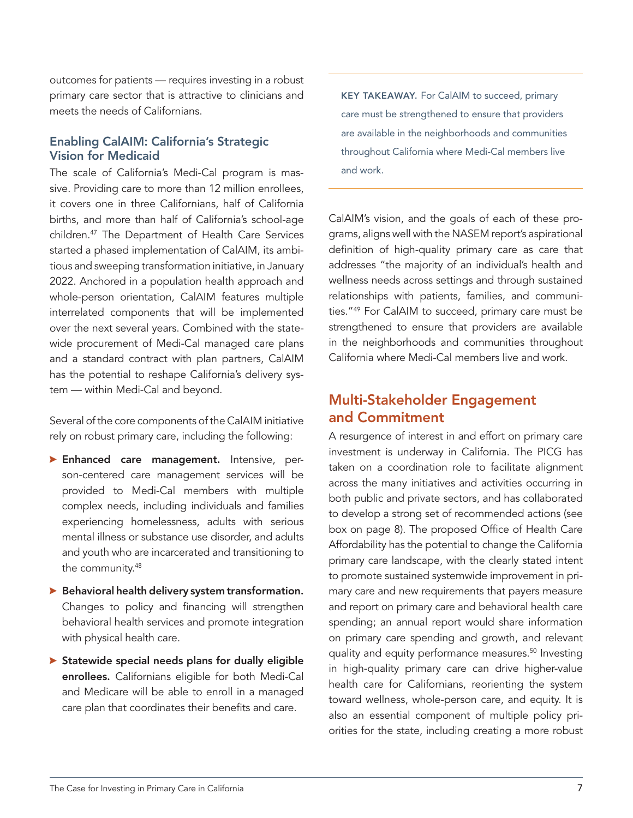outcomes for patients — requires investing in a robust primary care sector that is attractive to clinicians and meets the needs of Californians.

#### Enabling CalAIM: California's Strategic Vision for Medicaid

The scale of California's Medi-Cal program is massive. Providing care to more than 12 million enrollees, it covers one in three Californians, half of California births, and more than half of California's school-age children.47 The Department of Health Care Services started a phased implementation of CalAIM, its ambitious and sweeping transformation initiative, in January 2022. Anchored in a population health approach and whole-person orientation, CalAIM features multiple interrelated components that will be implemented over the next several years. Combined with the statewide procurement of Medi-Cal managed care plans and a standard contract with plan partners, CalAIM has the potential to reshape California's delivery system — within Medi-Cal and beyond.

Several of the core components of the CalAIM initiative rely on robust primary care, including the following:

- **> Enhanced care management.** Intensive, person-centered care management services will be provided to Medi-Cal members with multiple complex needs, including individuals and families experiencing homelessness, adults with serious mental illness or substance use disorder, and adults and youth who are incarcerated and transitioning to the community.48
- $\blacktriangleright$  Behavioral health delivery system transformation. Changes to policy and financing will strengthen behavioral health services and promote integration with physical health care.
- $\triangleright$  Statewide special needs plans for dually eligible enrollees. Californians eligible for both Medi-Cal and Medicare will be able to enroll in a managed care plan that coordinates their benefits and care.

KEY TAKEAWAY. For CalAIM to succeed, primary care must be strengthened to ensure that providers are available in the neighborhoods and communities throughout California where Medi-Cal members live and work.

CalAIM's vision, and the goals of each of these programs, aligns well with the NASEM report's aspirational definition of high-quality primary care as care that addresses "the majority of an individual's health and wellness needs across settings and through sustained relationships with patients, families, and communities."49 For CalAIM to succeed, primary care must be strengthened to ensure that providers are available in the neighborhoods and communities throughout California where Medi-Cal members live and work.

### Multi-Stakeholder Engagement and Commitment

A resurgence of interest in and effort on primary care investment is underway in California. The PICG has taken on a coordination role to facilitate alignment across the many initiatives and activities occurring in both public and private sectors, and has collaborated to develop a strong set of recommended actions (see box on page 8). The proposed Office of Health Care Affordability has the potential to change the California primary care landscape, with the clearly stated intent to promote sustained systemwide improvement in primary care and new requirements that payers measure and report on primary care and behavioral health care spending; an annual report would share information on primary care spending and growth, and relevant quality and equity performance measures.<sup>50</sup> Investing in high-quality primary care can drive higher-value health care for Californians, reorienting the system toward wellness, whole-person care, and equity. It is also an essential component of multiple policy priorities for the state, including creating a more robust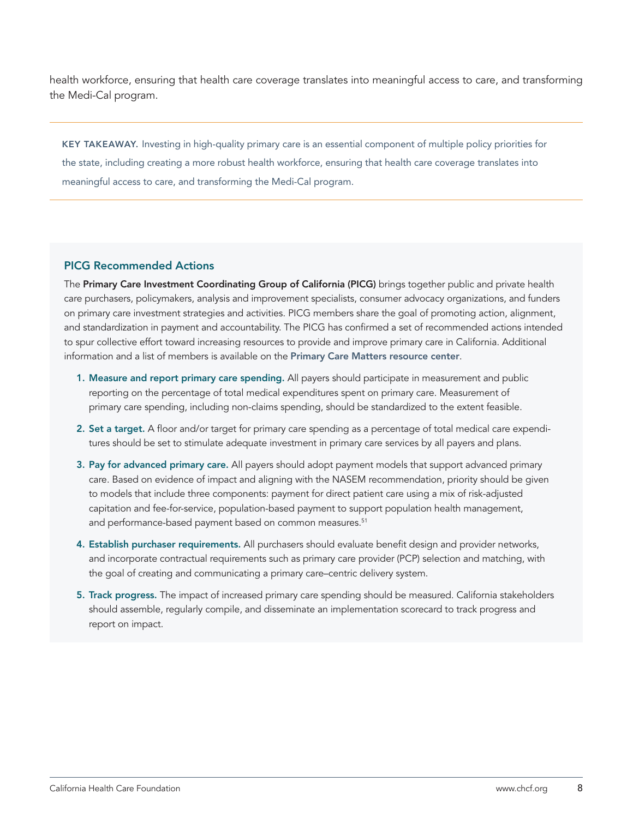health workforce, ensuring that health care coverage translates into meaningful access to care, and transforming the Medi-Cal program.

KEY TAKEAWAY. Investing in high-quality primary care is an essential component of multiple policy priorities for the state, including creating a more robust health workforce, ensuring that health care coverage translates into meaningful access to care, and transforming the Medi-Cal program.

#### PICG Recommended Actions

The Primary Care Investment Coordinating Group of California (PICG) brings together public and private health care purchasers, policymakers, analysis and improvement specialists, consumer advocacy organizations, and funders on primary care investment strategies and activities. PICG members share the goal of promoting action, alignment, and standardization in payment and accountability. The PICG has confirmed a set of recommended actions intended to spur collective effort toward increasing resources to provide and improve primary care in California. Additional information and a list of members is available on the [Primary Care Matters resource center](http://www.chcf.org/primary-care-matters).

- 1. Measure and report primary care spending. All payers should participate in measurement and public reporting on the percentage of total medical expenditures spent on primary care. Measurement of primary care spending, including non-claims spending, should be standardized to the extent feasible.
- 2. Set a target. A floor and/or target for primary care spending as a percentage of total medical care expenditures should be set to stimulate adequate investment in primary care services by all payers and plans.
- 3. Pay for advanced primary care. All payers should adopt payment models that support advanced primary care. Based on evidence of impact and aligning with the NASEM recommendation, priority should be given to models that include three components: payment for direct patient care using a mix of risk-adjusted capitation and fee-for-service, population-based payment to support population health management, and performance-based payment based on common measures.<sup>51</sup>
- 4. Establish purchaser requirements. All purchasers should evaluate benefit design and provider networks, and incorporate contractual requirements such as primary care provider (PCP) selection and matching, with the goal of creating and communicating a primary care–centric delivery system.
- 5. Track progress. The impact of increased primary care spending should be measured. California stakeholders should assemble, regularly compile, and disseminate an implementation scorecard to track progress and report on impact.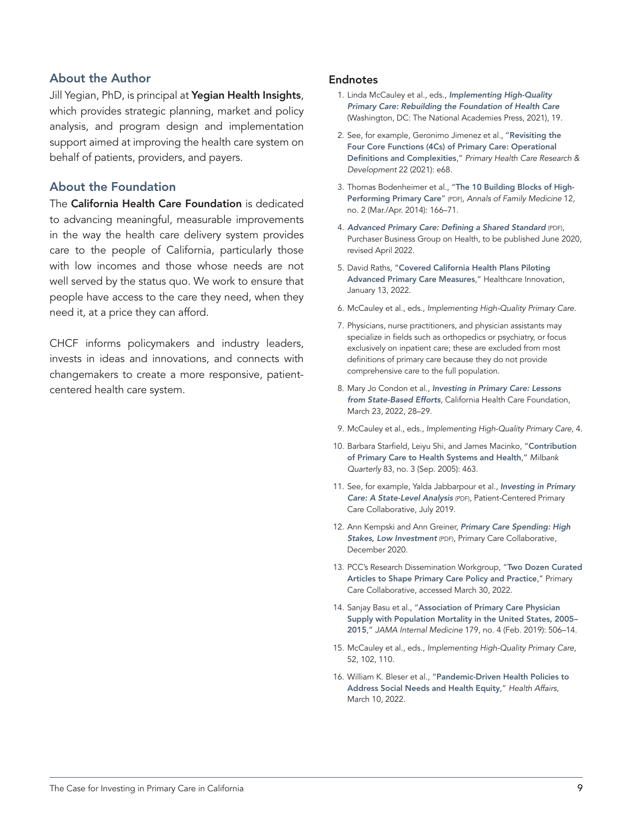#### About the Author

Jill Yegian, PhD, is principal at [Yegian Health Insights](http://www.yegianhealthinsights.com), which provides strategic planning, market and policy analysis, and program design and implementation support aimed at improving the health care system on behalf of patients, providers, and payers.

#### About the Foundation

The [California Health Care Foundation](http://) is dedicated to advancing meaningful, measurable improvements in the way the health care delivery system provides care to the people of California, particularly those with low incomes and those whose needs are not well served by the status quo. We work to ensure that people have access to the care they need, when they need it, at a price they can afford.

CHCF informs policymakers and industry leaders, invests in ideas and innovations, and connects with changemakers to create a more responsive, patientcentered health care system.

#### **Endnotes**

- 1. Linda McCauley et al., eds., *[Implementing High-Quality](https://www.nap.edu/read/25983/chapter/1)  [Primary Care: Rebuilding the Foundation of Health Care](https://www.nap.edu/read/25983/chapter/1)* (Washington, DC: The National Academies Press, 2021), 19.
- 2. See, for example, Geronimo Jimenez et al., "[Revisiting the](https://www.cambridge.org/core/journals/primary-health-care-research-and-development/article/revisiting-the-four-core-functions-4cs-of-primary-care-operational-definitions-and-complexities/65D55DA15CCF9ADD35CB42B5C06016F0)  [Four Core Functions \(4Cs\) of Primary Care: Operational](https://www.cambridge.org/core/journals/primary-health-care-research-and-development/article/revisiting-the-four-core-functions-4cs-of-primary-care-operational-definitions-and-complexities/65D55DA15CCF9ADD35CB42B5C06016F0)  [Definitions and Complexities](https://www.cambridge.org/core/journals/primary-health-care-research-and-development/article/revisiting-the-four-core-functions-4cs-of-primary-care-operational-definitions-and-complexities/65D55DA15CCF9ADD35CB42B5C06016F0)," *Primary Health Care Research & Development* 22 (2021): e68.
- 3. Thomas Bodenheimer et al., "[The 10 Building Blocks of High-](https://fcm.ucsf.edu/sites/g/files/tkssra541/f/wysiwyg/Bodenheimer et al%2C The 10 Building Blocks of High-Performing Primary Care.pdf)[Performing Primary Care](https://fcm.ucsf.edu/sites/g/files/tkssra541/f/wysiwyg/Bodenheimer et al%2C The 10 Building Blocks of High-Performing Primary Care.pdf)" (PDF), *Annals of Family Medicine* 12, no. 2 (Mar./Apr. 2014): 166–71.
- 4. *[Advanced Primary Care: Defining a Shared Standard](https://www.pbgh.org/wp-content/uploads/2022/04/advanced-primary-care-shared-standard.pdf)* (PDF), Purchaser Business Group on Health, to be published June 2020, revised April 2022.
- 5. David Raths, "[Covered California Health Plans Piloting](https://www.hcinnovationgroup.com/population-health-management/primary-care/article/21253063/covered-california-health-plans-piloting-advanced-primary-care-measures)  [Advanced Primary Care Measures](https://www.hcinnovationgroup.com/population-health-management/primary-care/article/21253063/covered-california-health-plans-piloting-advanced-primary-care-measures)," Healthcare Innovation, January 13, 2022.
- 6. McCauley et al., eds., *Implementing High-Quality Primary Care*.
- 7. Physicians, nurse practitioners, and physician assistants may specialize in fields such as orthopedics or psychiatry, or focus exclusively on inpatient care; these are excluded from most definitions of primary care because they do not provide comprehensive care to the full population.
- 8. Mary Jo Condon et al., *[Investing in Primary Care: Lessons](https://www.chcf.org/publication/investing-in-primary-care-lessons-from-state-based-efforts/)  [from State-Based Efforts](https://www.chcf.org/publication/investing-in-primary-care-lessons-from-state-based-efforts/)*, California Health Care Foundation, March 23, 2022, 28–29.
- 9. McCauley et al., eds., *Implementing High-Quality Primary Care*, 4.
- 10. Barbara Starfield, Leiyu Shi, and James Macinko, "[Contribution](https://www.milbank.org/quarterly/articles/contribution-of-primary-care-to-health-systems-and-health/)  [of Primary Care to Health Systems and Health](https://www.milbank.org/quarterly/articles/contribution-of-primary-care-to-health-systems-and-health/)," *Milbank Quarterly* 83, no. 3 (Sep. 2005): 463.
- 11. See, for example, Yalda Jabbarpour et al., *[Investing in Primary](https://www.pcpcc.org/sites/default/files/resources/pcmh_evidence_report_2019_0.pdf)  [Care: A State-Level Analysis](https://www.pcpcc.org/sites/default/files/resources/pcmh_evidence_report_2019_0.pdf)* (PDF), Patient-Centered Primary Care Collaborative, July 2019.
- 12. Ann Kempski and Ann Greiner, *[Primary Care Spending: High](https://bit.ly/pcspending2020)  [Stakes, Low Investment](https://bit.ly/pcspending2020)* (PDF), Primary Care Collaborative, December 2020.
- 13. PCC's Research Dissemination Workgroup, "[Two Dozen Curated](https://www.pcpcc.org/the-list)  [Articles to Shape Primary Care Policy and Practice](https://www.pcpcc.org/the-list)," Primary Care Collaborative, accessed March 30, 2022.
- 14. Sanjay Basu et al., "[Association of Primary Care Physician](https://jamanetwork.com/journals/jamainternalmedicine/fullarticle/2724393)  [Supply with Population Mortality in the United States, 2005–](https://jamanetwork.com/journals/jamainternalmedicine/fullarticle/2724393) [2015](https://jamanetwork.com/journals/jamainternalmedicine/fullarticle/2724393)," *JAMA Internal Medicine* 179, no. 4 (Feb. 2019): 506–14.
- 15. McCauley et al., eds., *Implementing High-Quality Primary Care*, 52, 102, 110.
- 16. William K. Bleser et al., "[Pandemic-Driven Health Policies to](https://www.healthaffairs.org/do/10.1377/hpb20220210.360906/full/)  [Address Social Needs and Health Equity](https://www.healthaffairs.org/do/10.1377/hpb20220210.360906/full/)," *Health Affairs*, March 10, 2022.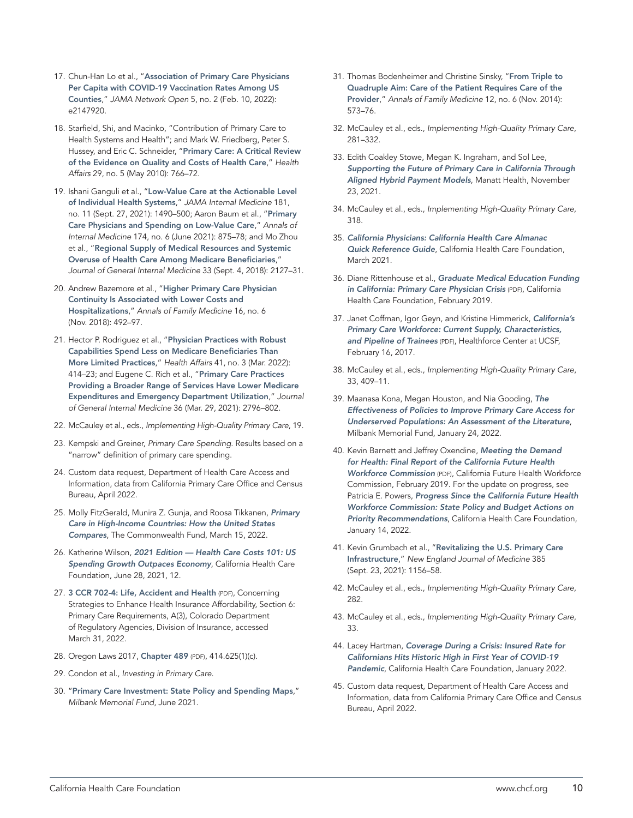- 17. Chun-Han Lo et al., "[Association of Primary Care Physicians](https://jamanetwork.com/journals/jamanetworkopen/fullarticle/2788927?utm_source=silverchair&utm_medium=email&utm_campaign=article_alert-jamanetworkopen&utm_content=wklyforyou&utm_term=021122)  [Per Capita with COVID-19 Vaccination Rates Among US](https://jamanetwork.com/journals/jamanetworkopen/fullarticle/2788927?utm_source=silverchair&utm_medium=email&utm_campaign=article_alert-jamanetworkopen&utm_content=wklyforyou&utm_term=021122)  [Counties](https://jamanetwork.com/journals/jamanetworkopen/fullarticle/2788927?utm_source=silverchair&utm_medium=email&utm_campaign=article_alert-jamanetworkopen&utm_content=wklyforyou&utm_term=021122)," *JAMA Network Open* 5, no. 2 (Feb. 10, 2022): e2147920.
- 18. Starfield, Shi, and Macinko, "Contribution of Primary Care to Health Systems and Health"; and Mark W. Friedberg, Peter S. Hussey, and Eric C. Schneider, "[Primary Care: A Critical Review](https://www.healthaffairs.org/doi/10.1377/hlthaff.2010.0025)  [of the Evidence on Quality and Costs of Health Care](https://www.healthaffairs.org/doi/10.1377/hlthaff.2010.0025)," *Health Affairs* 29, no. 5 (May 2010): 766–72.
- 19. Ishani Ganguli et al., "Low-Value Care at the Actionable Level [of Individual Health Systems](https://jamanetwork.com/journals/jamainternalmedicine/fullarticle/2784487)," *JAMA Internal Medicine* 181, no. 11 (Sept. 27, 2021): 1490–500; Aaron Baum et al., "[Primary](https://www.acpjournals.org/doi/10.7326/M20-6257)  [Care Physicians and Spending on Low-Value Care](https://www.acpjournals.org/doi/10.7326/M20-6257)," *Annals of Internal Medicine* 174, no. 6 (June 2021): 875–78; and Mo Zhou et al., "[Regional Supply of Medical Resources and Systemic](https://doi.org/10.1007/s11606-018-4638-9)  [Overuse of Health Care Among Medicare Beneficiaries](https://doi.org/10.1007/s11606-018-4638-9)," *Journal of General Internal Medicine* 33 (Sept. 4, 2018): 2127–31.
- 20. Andrew Bazemore et al., "[Higher Primary Care Physician](https://www.annfammed.org/content/16/6/492.long)  [Continuity Is Associated with Lower Costs and](https://www.annfammed.org/content/16/6/492.long)  [Hospitalizations](https://www.annfammed.org/content/16/6/492.long)," *Annals of Family Medicine* 16, no. 6 (Nov. 2018): 492–97.
- 21. Hector P. Rodriguez et al., "[Physician Practices with Robust](https://www.healthaffairs.org/doi/10.1377/hlthaff.2021.00302)  [Capabilities Spend Less on Medicare Beneficiaries Than](https://www.healthaffairs.org/doi/10.1377/hlthaff.2021.00302)  [More Limited Practices](https://www.healthaffairs.org/doi/10.1377/hlthaff.2021.00302)," *Health Affairs* 41, no. 3 (Mar. 2022): 414–23; and Eugene C. Rich et al., "[Primary Care Practices](https://link.springer.com/article/10.1007/s11606-021-06728-2)  [Providing a Broader Range of Services Have Lower Medicare](https://link.springer.com/article/10.1007/s11606-021-06728-2)  [Expenditures and Emergency Department Utilization](https://link.springer.com/article/10.1007/s11606-021-06728-2)," *Journal of General Internal Medicine* 36 (Mar. 29, 2021): 2796–802.
- 22. McCauley et al., eds., *Implementing High-Quality Primary Care*, 19.
- 23. Kempski and Greiner, *Primary Care Spending*. Results based on a "narrow" definition of primary care spending.
- 24. Custom data request, Department of Health Care Access and Information, data from California Primary Care Office and Census Bureau, April 2022.
- 25. Molly FitzGerald, Munira Z. Gunja, and Roosa Tikkanen, *[Primary](https://www.commonwealthfund.org/publications/issue-briefs/2022/mar/primary-care-high-income-countries-how-united-states-compares)  [Care in High-Income Countries: How the United States](https://www.commonwealthfund.org/publications/issue-briefs/2022/mar/primary-care-high-income-countries-how-united-states-compares)  [Compares](https://www.commonwealthfund.org/publications/issue-briefs/2022/mar/primary-care-high-income-countries-how-united-states-compares)*, The Commonwealth Fund, March 15, 2022.
- 26. Katherine Wilson, *[2021 Edition Health Care Costs 101: US](https://www.chcf.org/publication/2021-edition-health-care-costs-101/)  [Spending Growth Outpaces Economy](https://www.chcf.org/publication/2021-edition-health-care-costs-101/)*, California Health Care Foundation, June 28, 2021, 12.
- 27. [3 CCR 702-4: Life, Accident and Health](https://drive.google.com/file/d/19NzPs786iToCYw9XSQAOmzvI0QfxTjED/view) (PDF), Concerning Strategies to Enhance Health Insurance Affordability, Section 6: Primary Care Requirements, A(3), Colorado Department of Regulatory Agencies, Division of Insurance, accessed March 31, 2022.
- 28. Oregon Laws 2017, [Chapter 489](https://nam10.safelinks.protection.outlook.com/?url=https%3A%2F%2Fwww.oregonlegislature.gov%2Fbills_laws%2Flawsstatutes%2F2017orlaw0489.pdf&data=04%7C01%7Ckphillips%40chcf.org%7Ca8cb68cc48ce4c33bc6508d9fd2a708e%7C7169edab4433484e936cf1cd3cc84c49%7C0%7C0%7C637819181451426141%7CUnknown%7CTWFpbGZsb3d8eyJWIjoiMC4wLjAwMDAiLCJQIjoiV2luMzIiLCJBTiI6Ik1haWwiLCJXVCI6Mn0%3D%7C3000&sdata=%2F7tJspsdoINmO5%2F705rSpuQLgs%2BZq87hA7EuWwnenhw%3D&reserved=0) (PDF), 414.625(1)(c).
- 29. Condon et al., *Investing in Primary Care*.
- 30. "[Primary Care Investment: State Policy and Spending Maps](https://www.milbank.org/focus-areas/primary-care-transformation/other-resources/)," *Milbank Memorial Fund*, June 2021.
- 31. Thomas Bodenheimer and Christine Sinsky, "From Triple to [Quadruple Aim: Care of the Patient Requires Care of the](https://www.annfammed.org/content/12/6/573)  [Provider](https://www.annfammed.org/content/12/6/573)," *Annals of Family Medicine* 12, no. 6 (Nov. 2014): 573–76.
- 32. McCauley et al., eds., *Implementing High-Quality Primary Care*, 281–332.
- 33. Edith Coakley Stowe, Megan K. Ingraham, and Sol Lee, *[Supporting the Future of Primary Care in California Through](https://www.manatt.com/insights/white-papers/2021/supporting-the-future-of-primary-care-in-californi)  [Aligned Hybrid Payment Models](https://www.manatt.com/insights/white-papers/2021/supporting-the-future-of-primary-care-in-californi)*, Manatt Health, November 23, 2021.
- 34. McCauley et al., eds., *Implementing High-Quality Primary Care*, 318.
- 35. *[California Physicians: California Health Care Almanac](https://www.chcf.org/wp-content/uploads/2021/03/PhysiciansAlmanac2021QRG.pdf)  [Quick Reference Guide](https://www.chcf.org/wp-content/uploads/2021/03/PhysiciansAlmanac2021QRG.pdf)*, California Health Care Foundation, March 2021.
- 36. Diane Rittenhouse et al., *[Graduate Medical Education Funding](https://www.chcf.org/wp-content/uploads/2019/02/GMEFundingCAPCPCrisis.pdf)  [in California: Primary Care Physician Crisis](https://www.chcf.org/wp-content/uploads/2019/02/GMEFundingCAPCPCrisis.pdf)* (PDF), California Health Care Foundation, February 2019.
- 37. Janet Coffman, Igor Geyn, and Kristine Himmerick, *[California's](https://healthforce.ucsf.edu/sites/healthforce.ucsf.edu/files/publication-pdf/Research-Report_CA-Primary-Care-Workforce.pdf)  [Primary Care Workforce: Current Supply, Characteristics,](https://healthforce.ucsf.edu/sites/healthforce.ucsf.edu/files/publication-pdf/Research-Report_CA-Primary-Care-Workforce.pdf)  [and Pipeline of Trainees](https://healthforce.ucsf.edu/sites/healthforce.ucsf.edu/files/publication-pdf/Research-Report_CA-Primary-Care-Workforce.pdf)* (PDF), Healthforce Center at UCSF, February 16, 2017.
- 38. McCauley et al., eds., *Implementing High-Quality Primary Care*, 33, 409–11.
- 39. Maanasa Kona, Megan Houston, and Nia Gooding, *[The](https://www.milbank.org/publications/the-effectiveness-of-policies-to-improve-primary-care-access-for-underserved-populations/)  [Effectiveness of Policies to Improve Primary Care Access for](https://www.milbank.org/publications/the-effectiveness-of-policies-to-improve-primary-care-access-for-underserved-populations/)  [Underserved Populations: An Assessment of the Literature](https://www.milbank.org/publications/the-effectiveness-of-policies-to-improve-primary-care-access-for-underserved-populations/)*, Milbank Memorial Fund, January 24, 2022.
- 40. Kevin Barnett and Jeffrey Oxendine, *[Meeting the Demand](https://futurehealthworkforce.org/our-work/finalreport/)  [for Health: Final Report of the California Future Health](https://futurehealthworkforce.org/our-work/finalreport/)  [Workforce Commission](https://futurehealthworkforce.org/our-work/finalreport/)* (PDF), California Future Health Workforce Commission, February 2019. For the update on progress, see Patricia E. Powers, *[Progress Since the California Future Health](https://www.chcf.org/publication/progress-california-future-health-workforce-commission/)  [Workforce Commission: State Policy and Budget Actions on](https://www.chcf.org/publication/progress-california-future-health-workforce-commission/)  [Priority Recommendations](https://www.chcf.org/publication/progress-california-future-health-workforce-commission/)*, California Health Care Foundation, January 14, 2022.
- 41. Kevin Grumbach et al., "[Revitalizing the U.S. Primary Care](https://www.nejm.org/doi/full/10.1056/NEJMp2109700)  [Infrastructure](https://www.nejm.org/doi/full/10.1056/NEJMp2109700)," *New England Journal of Medicine* 385 (Sept. 23, 2021): 1156–58.
- 42. McCauley et al., eds., *Implementing High-Quality Primary Care*, 282.
- 43. McCauley et al., eds., *Implementing High-Quality Primary Care*, 33.
- 44. Lacey Hartman, *[Coverage During a Crisis: Insured Rate for](https://www.chcf.org/publication/coverage-during-crisis-insured-rate-historic-high-first-year-covid-19-pandemic/)  [Californians Hits Historic High in First Year of COVID-19](https://www.chcf.org/publication/coverage-during-crisis-insured-rate-historic-high-first-year-covid-19-pandemic/)  [Pandemic](https://www.chcf.org/publication/coverage-during-crisis-insured-rate-historic-high-first-year-covid-19-pandemic/)*, California Health Care Foundation, January 2022.
- 45. Custom data request, Department of Health Care Access and Information, data from California Primary Care Office and Census Bureau, April 2022.